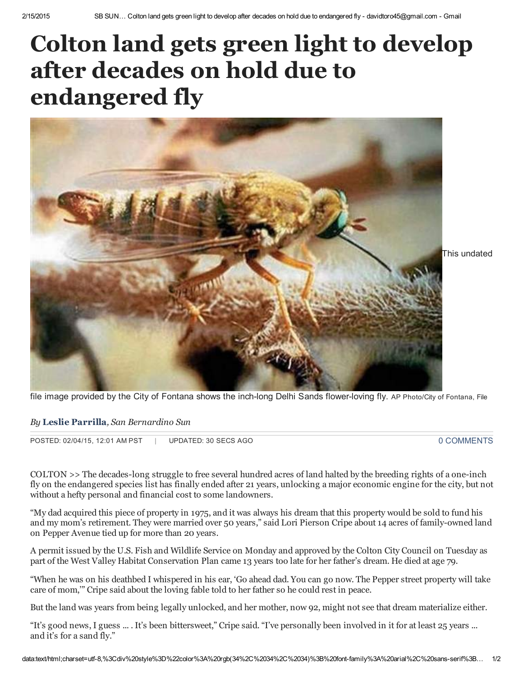## Colton land gets green light to develop after decades on hold due to endangered fly



file image provided by the City of Fontana shows the inch-long Delhi Sands flower-loving fly. AP Photo/City of Fontana, File

## By Leslie [Parrilla](http://www.sbsun.com/environment-and-nature/20150204/colton-land-gets-green-light-to-develop-after-decades-on-hold-due-to-endangered-fly#author1), San Bernardino Sun

POSTED: 02/04/15, 12:01 AM PST | UPDATED: 30 SECS AGO 0 [COMMENTS](http://www.sbsun.com/environment-and-nature/20150204/colton-land-gets-green-light-to-develop-after-decades-on-hold-due-to-endangered-fly#disqus_thread)

COLTON >> The decades-long struggle to free several hundred acres of land halted by the breeding rights of a one-inch fly on the endangered species list has finally ended after 21 years, unlocking a major economic engine for the city, but not without a hefty personal and financial cost to some landowners.

"My dad acquired this piece of property in 1975, and it was always his dream that this property would be sold to fund his and my mom's retirement. They were married over 50 years," said Lori Pierson Cripe about 14 acres of family-owned land on Pepper Avenue tied up for more than 20 years.

A permit issued by the U.S. Fish and Wildlife Service on Monday and approved by the Colton City Council on Tuesday as part of the West Valley Habitat Conservation Plan came 13 years too late for her father's dream. He died at age 79.

"When he was on his deathbed I whispered in his ear, 'Go ahead dad. You can go now. The Pepper street property will take care of mom,'" Cripe said about the loving fable told to her father so he could rest in peace.

But the land was years from being legally unlocked, and her mother, now 92, might not see that dream materialize either.

"It's good news, I guess ... . It's been bittersweet," Cripe said. "I've personally been involved in it for at least 25 years ... and it's for a sand fly."